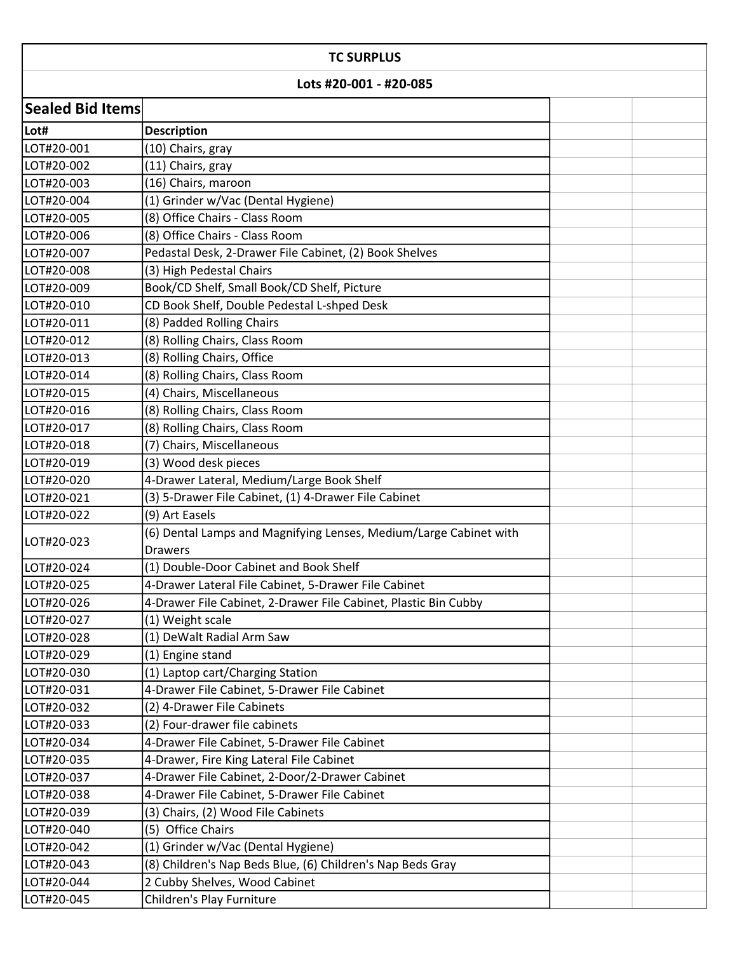| <b>TC SURPLUS</b>       |                                                                   |  |  |  |  |
|-------------------------|-------------------------------------------------------------------|--|--|--|--|
| Lots #20-001 - #20-085  |                                                                   |  |  |  |  |
| <b>Sealed Bid Items</b> |                                                                   |  |  |  |  |
| Lot#                    | <b>Description</b>                                                |  |  |  |  |
| LOT#20-001              | (10) Chairs, gray                                                 |  |  |  |  |
| LOT#20-002              | (11) Chairs, gray                                                 |  |  |  |  |
| LOT#20-003              | (16) Chairs, maroon                                               |  |  |  |  |
| LOT#20-004              | (1) Grinder w/Vac (Dental Hygiene)                                |  |  |  |  |
| LOT#20-005              | (8) Office Chairs - Class Room                                    |  |  |  |  |
| LOT#20-006              | (8) Office Chairs - Class Room                                    |  |  |  |  |
| LOT#20-007              | Pedastal Desk, 2-Drawer File Cabinet, (2) Book Shelves            |  |  |  |  |
| LOT#20-008              | (3) High Pedestal Chairs                                          |  |  |  |  |
| LOT#20-009              | Book/CD Shelf, Small Book/CD Shelf, Picture                       |  |  |  |  |
| LOT#20-010              | CD Book Shelf, Double Pedestal L-shped Desk                       |  |  |  |  |
| LOT#20-011              | (8) Padded Rolling Chairs                                         |  |  |  |  |
| LOT#20-012              | (8) Rolling Chairs, Class Room                                    |  |  |  |  |
| LOT#20-013              | (8) Rolling Chairs, Office                                        |  |  |  |  |
| LOT#20-014              | (8) Rolling Chairs, Class Room                                    |  |  |  |  |
| LOT#20-015              | (4) Chairs, Miscellaneous                                         |  |  |  |  |
| LOT#20-016              | (8) Rolling Chairs, Class Room                                    |  |  |  |  |
| LOT#20-017              | (8) Rolling Chairs, Class Room                                    |  |  |  |  |
| LOT#20-018              | (7) Chairs, Miscellaneous                                         |  |  |  |  |
| LOT#20-019              | (3) Wood desk pieces                                              |  |  |  |  |
| LOT#20-020              | 4-Drawer Lateral, Medium/Large Book Shelf                         |  |  |  |  |
| LOT#20-021              | (3) 5-Drawer File Cabinet, (1) 4-Drawer File Cabinet              |  |  |  |  |
| LOT#20-022              | (9) Art Easels                                                    |  |  |  |  |
|                         | (6) Dental Lamps and Magnifying Lenses, Medium/Large Cabinet with |  |  |  |  |
| LOT#20-023              | <b>Drawers</b>                                                    |  |  |  |  |
| LOT#20-024              | (1) Double-Door Cabinet and Book Shelf                            |  |  |  |  |
| LOT#20-025              | 4-Drawer Lateral File Cabinet, 5-Drawer File Cabinet              |  |  |  |  |
| LOT#20-026              | 4-Drawer File Cabinet, 2-Drawer File Cabinet, Plastic Bin Cubby   |  |  |  |  |
| LOT#20-027              | (1) Weight scale                                                  |  |  |  |  |
| LOT#20-028              | (1) DeWalt Radial Arm Saw                                         |  |  |  |  |
| LOT#20-029              | (1) Engine stand                                                  |  |  |  |  |
| LOT#20-030              | (1) Laptop cart/Charging Station                                  |  |  |  |  |
| LOT#20-031              | 4-Drawer File Cabinet, 5-Drawer File Cabinet                      |  |  |  |  |
| LOT#20-032              | (2) 4-Drawer File Cabinets                                        |  |  |  |  |
| LOT#20-033              | (2) Four-drawer file cabinets                                     |  |  |  |  |
| LOT#20-034              | 4-Drawer File Cabinet, 5-Drawer File Cabinet                      |  |  |  |  |
| LOT#20-035              | 4-Drawer, Fire King Lateral File Cabinet                          |  |  |  |  |
| LOT#20-037              | 4-Drawer File Cabinet, 2-Door/2-Drawer Cabinet                    |  |  |  |  |
| LOT#20-038              | 4-Drawer File Cabinet, 5-Drawer File Cabinet                      |  |  |  |  |
| LOT#20-039              | (3) Chairs, (2) Wood File Cabinets                                |  |  |  |  |
| LOT#20-040              | (5) Office Chairs                                                 |  |  |  |  |
| LOT#20-042              | (1) Grinder w/Vac (Dental Hygiene)                                |  |  |  |  |
| LOT#20-043              | (8) Children's Nap Beds Blue, (6) Children's Nap Beds Gray        |  |  |  |  |
| LOT#20-044              | 2 Cubby Shelves, Wood Cabinet                                     |  |  |  |  |
| LOT#20-045              | Children's Play Furniture                                         |  |  |  |  |